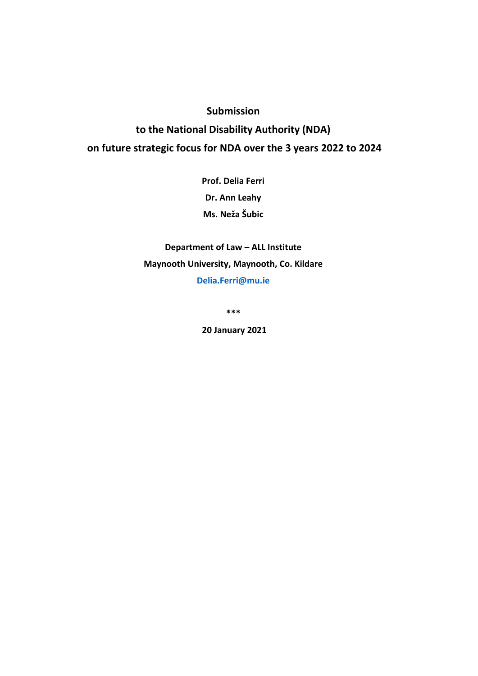# **Submission to the National Disability Authority (NDA) on future strategic focus for NDA over the 3 years 2022 to 2024**

**Prof. Delia Ferri Dr. Ann Leahy Ms. Neža Šubic**

**Department of Law – ALL Institute Maynooth University, Maynooth, Co. Kildare [Delia.Ferri@mu.ie](mailto:Delia.Ferri@mu.ie)**

**\*\*\***

**20 January 2021**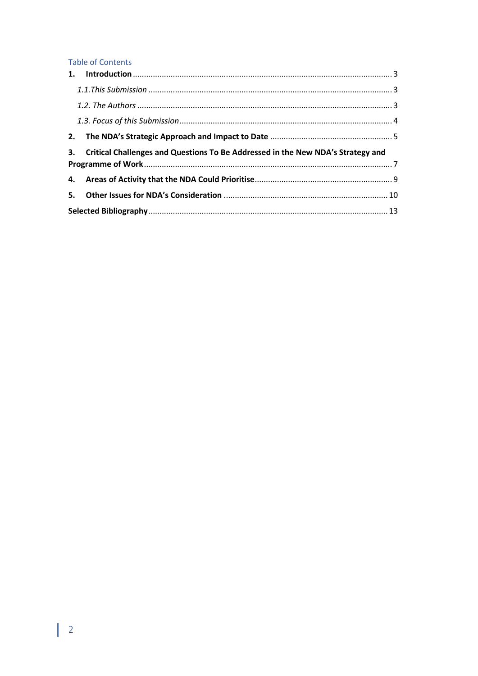# **Table of Contents**

| 3. Critical Challenges and Questions To Be Addressed in the New NDA's Strategy and |  |  |
|------------------------------------------------------------------------------------|--|--|
|                                                                                    |  |  |
|                                                                                    |  |  |
|                                                                                    |  |  |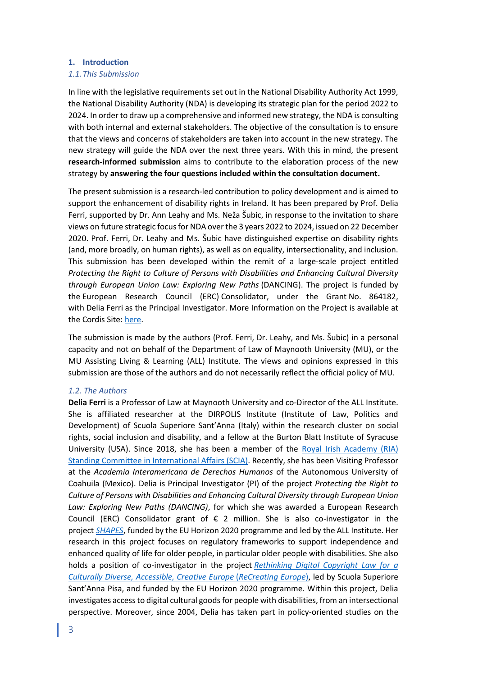#### <span id="page-2-0"></span>**1. Introduction**

#### <span id="page-2-1"></span>*1.1.This Submission*

In line with the legislative requirements set out in the National Disability Authority Act 1999, the National Disability Authority (NDA) is developing its strategic plan for the period 2022 to 2024. In order to draw up a comprehensive and informed new strategy, the NDA is consulting with both internal and external stakeholders. The objective of the consultation is to ensure that the views and concerns of stakeholders are taken into account in the new strategy. The new strategy will guide the NDA over the next three years. With this in mind, the present **research-informed submission** aims to contribute to the elaboration process of the new strategy by **answering the four questions included within the consultation document.** 

The present submission is a research-led contribution to policy development and is aimed to support the enhancement of disability rights in Ireland. It has been prepared by Prof. Delia Ferri, supported by Dr. Ann Leahy and Ms. Neža Šubic, in response to the invitation to share views on future strategic focus for NDA over the 3 years 2022 to 2024, issued on 22 December 2020. Prof. Ferri, Dr. Leahy and Ms. Šubic have distinguished expertise on disability rights (and, more broadly, on human rights), as well as on equality, intersectionality, and inclusion. This submission has been developed within the remit of a large-scale project entitled *Protecting the Right to Culture of Persons with Disabilities and Enhancing Cultural Diversity through European Union Law: Exploring New Paths* (DANCING). The project is funded by the European Research Council (ERC) Consolidator, under the Grant No. 864182, with Delia Ferri as the Principal Investigator. More Information on the Project is available at the Cordis Site: [here.](https://cordis.europa.eu/project/id/864182)

The submission is made by the authors (Prof. Ferri, Dr. Leahy, and Ms. Šubic) in a personal capacity and not on behalf of the Department of Law of Maynooth University (MU), or the MU Assisting Living & Learning (ALL) Institute. The views and opinions expressed in this submission are those of the authors and do not necessarily reflect the official policy of MU.

#### <span id="page-2-2"></span>*1.2. The Authors*

**Delia Ferri** is a Professor of Law at Maynooth University and co-Director of the ALL Institute. She is affiliated researcher at the DIRPOLIS Institute (Institute of Law, Politics and Development) of Scuola Superiore Sant'Anna (Italy) within the research cluster on social rights, social inclusion and disability, and a fellow at the Burton Blatt Institute of Syracuse University (USA). Since 2018, she has been a member of the [Royal Irish Academy \(RIA\)](https://www.ria.ie/delia-ferri)  [Standing Committee in International Affairs \(SCIA\).](https://www.ria.ie/delia-ferri) Recently, she has been Visiting Professor at the *Academia Interamericana de Derechos Humanos* of the Autonomous University of Coahuila (Mexico). Delia is Principal Investigator (PI) of the project *Protecting the Right to Culture of Persons with Disabilities and Enhancing Cultural Diversity through European Union Law: Exploring New Paths (DANCING)*, for which she was awarded a European Research Council (ERC) Consolidator grant of  $\epsilon$  2 million. She is also co-investigator in the project *[SHAPES](https://shapes2020.eu/)*, funded by the EU Horizon 2020 programme and led by the ALL Institute. Her research in this project focuses on regulatory frameworks to support independence and enhanced quality of life for older people, in particular older people with disabilities. She also holds a position of co-investigator in the project *[Rethinking Digital Copyright Law for a](https://www.recreating.eu/)  [Culturally Diverse, Accessible, Creative Europe](https://www.recreating.eu/)* (*ReCreating Europe*), led by Scuola Superiore Sant'Anna Pisa, and funded by the EU Horizon 2020 programme. Within this project, Delia investigates access to digital cultural goods for people with disabilities, from an intersectional perspective. Moreover, since 2004, Delia has taken part in policy-oriented studies on the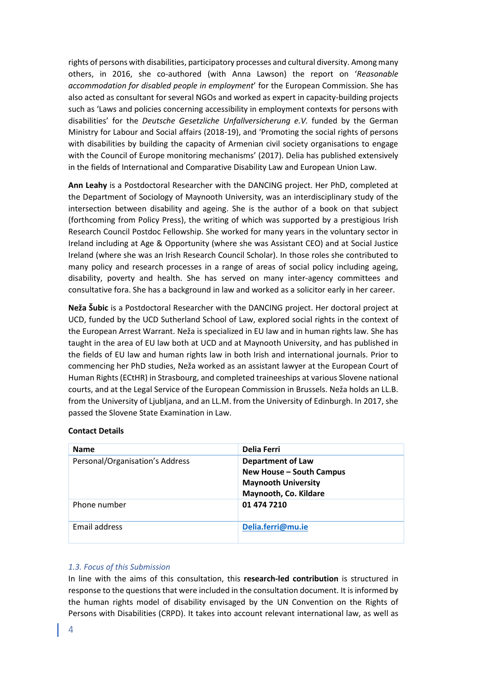rights of persons with disabilities, participatory processes and cultural diversity. Among many others, in 2016, she co-authored (with Anna Lawson) the report on '*Reasonable accommodation for disabled people in employment*' for the European Commission. She has also acted as consultant for several NGOs and worked as expert in capacity-building projects such as 'Laws and policies concerning accessibility in employment contexts for persons with disabilities' for the *Deutsche Gesetzliche Unfallversicherung e.V.* funded by the German Ministry for Labour and Social affairs (2018-19), and 'Promoting the social rights of persons with disabilities by building the capacity of Armenian civil society organisations to engage with the Council of Europe monitoring mechanisms' (2017). Delia has published extensively in the fields of International and Comparative Disability Law and European Union Law.

**Ann Leahy** is a Postdoctoral Researcher with the DANCING project. Her PhD, completed at the Department of Sociology of Maynooth University, was an interdisciplinary study of the intersection between disability and ageing. She is the author of a book on that subject (forthcoming from Policy Press), the writing of which was supported by a prestigious Irish Research Council Postdoc Fellowship. She worked for many years in the voluntary sector in Ireland including at Age & Opportunity (where she was Assistant CEO) and at Social Justice Ireland (where she was an Irish Research Council Scholar). In those roles she contributed to many policy and research processes in a range of areas of social policy including ageing, disability, poverty and health. She has served on many inter-agency committees and consultative fora. She has a background in law and worked as a solicitor early in her career.

**Neža Šubic** is a Postdoctoral Researcher with the DANCING project. Her doctoral project at UCD, funded by the UCD Sutherland School of Law, explored social rights in the context of the European Arrest Warrant. Neža is specialized in EU law and in human rights law. She has taught in the area of EU law both at UCD and at Maynooth University, and has published in the fields of EU law and human rights law in both Irish and international journals. Prior to commencing her PhD studies, Neža worked as an assistant lawyer at the European Court of Human Rights (ECtHR) in Strasbourg, and completed traineeships at various Slovene national courts, and at the Legal Service of the European Commission in Brussels. Neža holds an LL.B. from the University of Ljubljana, and an LL.M. from the University of Edinburgh. In 2017, she passed the Slovene State Examination in Law.

## **Contact Details**

| <b>Name</b>                     | Delia Ferri                                                                                                 |
|---------------------------------|-------------------------------------------------------------------------------------------------------------|
| Personal/Organisation's Address | <b>Department of Law</b><br>New House - South Campus<br><b>Maynooth University</b><br>Maynooth, Co. Kildare |
| Phone number                    | 01 474 7210                                                                                                 |
| Email address                   | Delia.ferri@mu.ie                                                                                           |

## <span id="page-3-0"></span>*1.3. Focus of this Submission*

In line with the aims of this consultation, this **research-led contribution** is structured in response to the questions that were included in the consultation document. It is informed by the human rights model of disability envisaged by the UN Convention on the Rights of Persons with Disabilities (CRPD). It takes into account relevant international law, as well as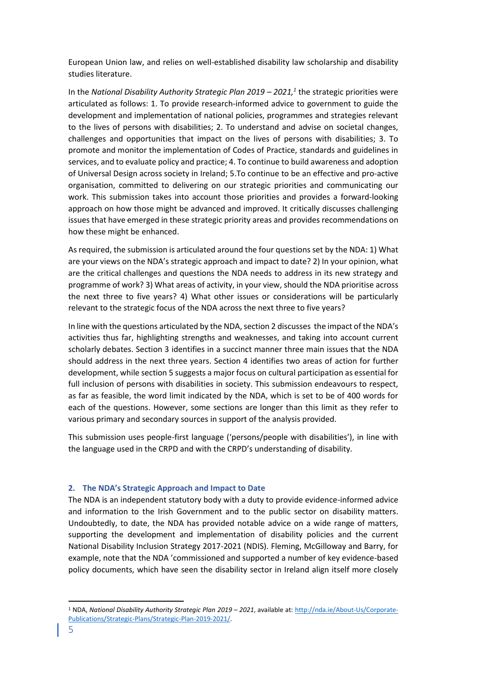European Union law, and relies on well-established disability law scholarship and disability studies literature.

In the *National Disability Authority Strategic Plan 2019 – 2021,<sup>1</sup> the strategic priorities were* articulated as follows: 1. To provide research-informed advice to government to guide the development and implementation of national policies, programmes and strategies relevant to the lives of persons with disabilities; 2. To understand and advise on societal changes, challenges and opportunities that impact on the lives of persons with disabilities; 3. To promote and monitor the implementation of Codes of Practice, standards and guidelines in services, and to evaluate policy and practice; 4. To continue to build awareness and adoption of Universal Design across society in Ireland; 5.To continue to be an effective and pro-active organisation, committed to delivering on our strategic priorities and communicating our work. This submission takes into account those priorities and provides a forward-looking approach on how those might be advanced and improved. It critically discusses challenging issues that have emerged in these strategic priority areas and provides recommendations on how these might be enhanced.

As required, the submission is articulated around the four questions set by the NDA: 1) What are your views on the NDA's strategic approach and impact to date? 2) In your opinion, what are the critical challenges and questions the NDA needs to address in its new strategy and programme of work? 3) What areas of activity, in your view, should the NDA prioritise across the next three to five years? 4) What other issues or considerations will be particularly relevant to the strategic focus of the NDA across the next three to five years?

In line with the questions articulated by the NDA, section 2 discusses the impact of the NDA's activities thus far, highlighting strengths and weaknesses, and taking into account current scholarly debates. Section 3 identifies in a succinct manner three main issues that the NDA should address in the next three years. Section 4 identifies two areas of action for further development, while section 5 suggests a major focus on cultural participation as essential for full inclusion of persons with disabilities in society. This submission endeavours to respect, as far as feasible, the word limit indicated by the NDA, which is set to be of 400 words for each of the questions. However, some sections are longer than this limit as they refer to various primary and secondary sources in support of the analysis provided.

This submission uses people-first language ('persons/people with disabilities'), in line with the language used in the CRPD and with the CRPD's understanding of disability.

## <span id="page-4-0"></span>**2. The NDA's Strategic Approach and Impact to Date**

The NDA is an independent statutory body with a duty to provide evidence-informed advice and information to the Irish Government and to the public sector on disability matters. Undoubtedly, to date, the NDA has provided notable advice on a wide range of matters, supporting the development and implementation of disability policies and the current National Disability Inclusion Strategy 2017-2021 (NDIS). Fleming, McGilloway and Barry, for example, note that the NDA 'commissioned and supported a number of key evidence-based policy documents, which have seen the disability sector in Ireland align itself more closely

<sup>1</sup> NDA, *National Disability Authority Strategic Plan 2019 – 2021*, available at[: http://nda.ie/About-Us/Corporate-](http://nda.ie/About-Us/Corporate-Publications/Strategic-Plans/Strategic-Plan-2019-2021/)[Publications/Strategic-Plans/Strategic-Plan-2019-2021/.](http://nda.ie/About-Us/Corporate-Publications/Strategic-Plans/Strategic-Plan-2019-2021/)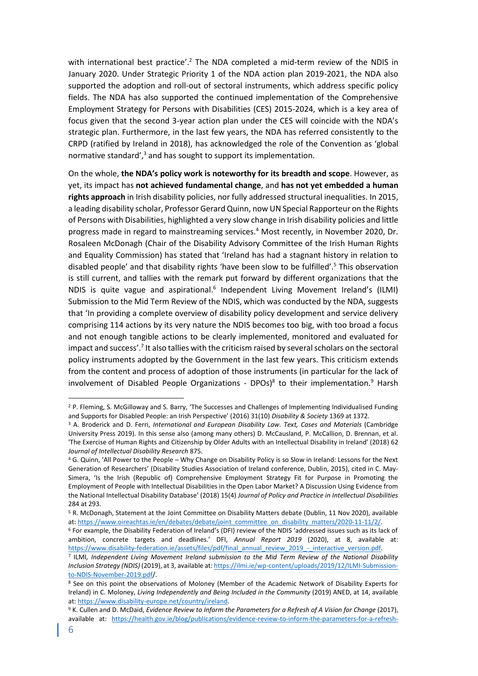with international best practice'.<sup>2</sup> The NDA completed a mid-term review of the NDIS in January 2020. Under Strategic Priority 1 of the NDA action plan 2019-2021, the NDA also supported the adoption and roll-out of sectoral instruments, which address specific policy fields. The NDA has also supported the continued implementation of the Comprehensive Employment Strategy for Persons with Disabilities (CES) 2015-2024, which is a key area of focus given that the second 3-year action plan under the CES will coincide with the NDA's strategic plan. Furthermore, in the last few years, the NDA has referred consistently to the CRPD (ratified by Ireland in 2018), has acknowledged the role of the Convention as 'global normative standard', <sup>3</sup> and has sought to support its implementation.

On the whole, **the NDA's policy work is noteworthy for its breadth and scope**. However, as yet, its impact has **not achieved fundamental change**, and **has not yet embedded a human rights approach** in Irish disability policies, nor fully addressed structural inequalities. In 2015, a leading disability scholar, Professor Gerard Quinn, now UN Special Rapporteur on the Rights of Persons with Disabilities, highlighted a very slow change in Irish disability policies and little progress made in regard to mainstreaming services.<sup>4</sup> Most recently, in November 2020, Dr. Rosaleen McDonagh (Chair of the Disability Advisory Committee of the Irish Human Rights and Equality Commission) has stated that 'Ireland has had a stagnant history in relation to disabled people' and that disability rights 'have been slow to be fulfilled'.<sup>5</sup> This observation is still current, and tallies with the remark put forward by different organizations that the NDIS is quite vague and aspirational.<sup>6</sup> Independent Living Movement Ireland's (ILMI) Submission to the Mid Term Review of the NDIS, which was conducted by the NDA, suggests that 'In providing a complete overview of disability policy development and service delivery comprising 114 actions by its very nature the NDIS becomes too big, with too broad a focus and not enough tangible actions to be clearly implemented, monitored and evaluated for impact and success'.<sup>7</sup> It also tallies with the criticism raised by several scholars on the sectoral policy instruments adopted by the Government in the last few years. This criticism extends from the content and process of adoption of those instruments (in particular for the lack of involvement of Disabled People Organizations - DPOs)<sup>8</sup> to their implementation.<sup>9</sup> Harsh

<sup>2</sup> P. Fleming, S. McGilloway and S. Barry, 'The Successes and Challenges of Implementing Individualised Funding and Supports for Disabled People: an Irish Perspective' (2016) 31(10) *Disability & Society* 1369 at 1372.

<sup>&</sup>lt;sup>3</sup> A. Broderick and D. Ferri, *International and European Disability Law. Text, Cases and Materials* (Cambridge University Press 2019). In this sense also (among many others) D. McCausland, P. McCallion, D. Brennan, et al. 'The Exercise of Human Rights and Citizenship by Older Adults with an Intellectual Disability in Ireland' (2018) 62 *Journal of Intellectual Disability Research* 875.

<sup>4</sup> G. Quinn, 'All Power to the People – Why Change on Disability Policy is so Slow in Ireland: Lessons for the Next Generation of Researchers' (Disability Studies Association of Ireland conference, Dublin, 2015), cited in C. May‐ Simera, 'Is the Irish (Republic of) Comprehensive Employment Strategy Fit for Purpose in Promoting the Employment of People with Intellectual Disabilities in the Open Labor Market? A Discussion Using Evidence from the National Intellectual Disability Database' (2018) 15(4) *Journal of Policy and Practice in Intellectual Disabilities* 284 at 293.

<sup>5</sup> R. McDonagh, Statement at the Joint Committee on Disability Matters debate (Dublin, 11 Nov 2020), available at: [https://www.oireachtas.ie/en/debates/debate/joint\\_committee\\_on\\_disability\\_matters/2020-11-11/2/.](https://www.oireachtas.ie/en/debates/debate/joint_committee_on_disability_matters/2020-11-11/2/)

<sup>6</sup> For example, the Disability Federation of Ireland's (DFI) review of the NDIS 'addressed issues such as its lack of ambition, concrete targets and deadlines.' DFI, *Annual Report 2019* (2020), at 8, available at: [https://www.disability-federation.ie/assets/files/pdf/final\\_annual\\_review\\_2019\\_-\\_interactive\\_version.pdf.](https://www.disability-federation.ie/assets/files/pdf/final_annual_review_2019_-_interactive_version.pdf)

<sup>7</sup> ILMI*, Independent Living Movement Ireland submission to the Mid Term Review of the National Disability Inclusion Strategy (NDIS)* (2019), at 3, available at[: https://ilmi.ie/wp-content/uploads/2019/12/ILMI-Submission](https://ilmi.ie/wp-content/uploads/2019/12/ILMI-Submission-to-NDIS-November-2019.pdf)[to-NDIS-November-2019.pdf/](https://ilmi.ie/wp-content/uploads/2019/12/ILMI-Submission-to-NDIS-November-2019.pdf).

<sup>8</sup> See on this point the observations of Moloney (Member of the Academic Network of Disability Experts for Ireland) in C. Moloney, *Living Independently and Being Included in the Community* (2019) ANED, at 14, available at: [https://www.disability-europe.net/country/ireland.](https://www.disability-europe.net/country/ireland) 

<sup>9</sup> K. Cullen and D. McDaid, *Evidence Review to Inform the Parameters for a Refresh of A Vision for Change* (2017), available at: [https://health.gov.ie/blog/publications/evidence-review-to-inform-the-parameters-for-a-refresh-](https://health.gov.ie/blog/publications/evidence-review-to-inform-the-parameters-for-a-refresh-of-a-vision-for-change/)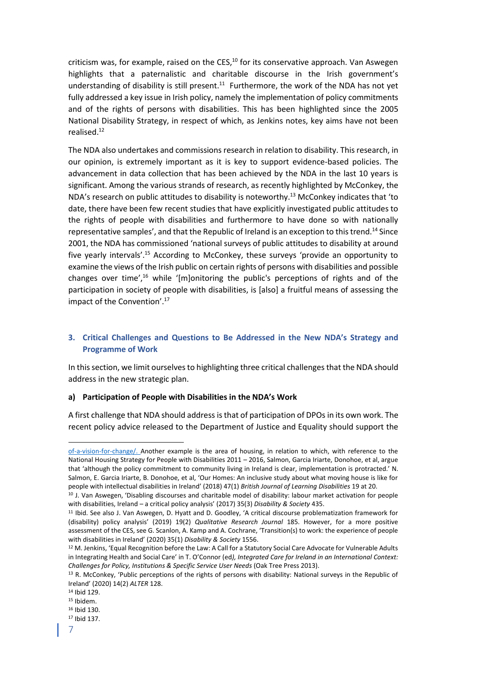criticism was, for example, raised on the CES,<sup>10</sup> for its conservative approach. Van Aswegen highlights that a paternalistic and charitable discourse in the Irish government's understanding of disability is still present. $11$  Furthermore, the work of the NDA has not yet fully addressed a key issue in Irish policy, namely the implementation of policy commitments and of the rights of persons with disabilities. This has been highlighted since the 2005 National Disability Strategy, in respect of which, as Jenkins notes, key aims have not been realised.<sup>12</sup>

The NDA also undertakes and commissions research in relation to disability. This research, in our opinion, is extremely important as it is key to support evidence-based policies. The advancement in data collection that has been achieved by the NDA in the last 10 years is significant. Among the various strands of research, as recently highlighted by McConkey, the NDA's research on public attitudes to disability is noteworthy. <sup>13</sup> McConkey indicates that 'to date, there have been few recent studies that have explicitly investigated public attitudes to the rights of people with disabilities and furthermore to have done so with nationally representative samples', and that the Republic of Ireland is an exception to this trend.<sup>14</sup> Since 2001, the NDA has commissioned 'national surveys of public attitudes to disability at around five yearly intervals'. <sup>15</sup> According to McConkey, these surveys 'provide an opportunity to examine the views of the Irish public on certain rights of persons with disabilities and possible changes over time', <sup>16</sup> while '[m]onitoring the public's perceptions of rights and of the participation in society of people with disabilities, is [also] a fruitful means of assessing the impact of the Convention'. 17

# <span id="page-6-0"></span>**3. Critical Challenges and Questions to Be Addressed in the New NDA's Strategy and Programme of Work**

In this section, we limit ourselves to highlighting three critical challenges that the NDA should address in the new strategic plan.

## **a) Participation of People with Disabilities in the NDA's Work**

A first challenge that NDA should address is that of participation of DPOs in its own work. The recent policy advice released to the Department of Justice and Equality should support the

[of-a-vision-for-change/.](https://health.gov.ie/blog/publications/evidence-review-to-inform-the-parameters-for-a-refresh-of-a-vision-for-change/) Another example is the area of housing, in relation to which, with reference to the National Housing Strategy for People with Disabilities 2011 – 2016, Salmon, Garcia Iriarte, Donohoe, et al, argue that 'although the policy commitment to community living in Ireland is clear, implementation is protracted.' N. Salmon, E. Garcia Iriarte, B. Donohoe, et al, 'Our Homes: An inclusive study about what moving house is like for people with intellectual disabilities in Ireland' (2018) 47(1) *British Journal of Learning Disabilities* 19 at 20.

<sup>&</sup>lt;sup>10</sup> J. Van Aswegen, 'Disabling discourses and charitable model of disability: labour market activation for people with disabilities, Ireland – a critical policy analysis' (2017) 35(3) *Disability & Society* 435.

<sup>11</sup> Ibid. See also J. Van Aswegen, D. Hyatt and D. Goodley, 'A critical discourse problematization framework for (disability) policy analysis' (2019) 19(2) *Qualitative Research Journal* 185. However, for a more positive assessment of the CES, see G. Scanlon, A. Kamp and A. Cochrane, 'Transition(s) to work: the experience of people with disabilities in Ireland' (2020) 35(1) *Disability & Society* 1556.

<sup>12</sup> M. Jenkins, 'Equal Recognition before the Law: A Call for a Statutory Social Care Advocate for Vulnerable Adults in Integrating Health and Social Care' in T. O'Connor (ed*), Integrated Care for Ireland in an International Context: Challenges for Policy, Institutions & Specific Service User Needs* (Oak Tree Press 2013).

<sup>&</sup>lt;sup>13</sup> R. McConkey, 'Public perceptions of the rights of persons with disability: National surveys in the Republic of Ireland' (2020) 14(2) *ALTER* 128.

<sup>14</sup> Ibid 129.

<sup>15</sup> Ibidem.

<sup>16</sup> Ibid 130.

<sup>17</sup> Ibid 137.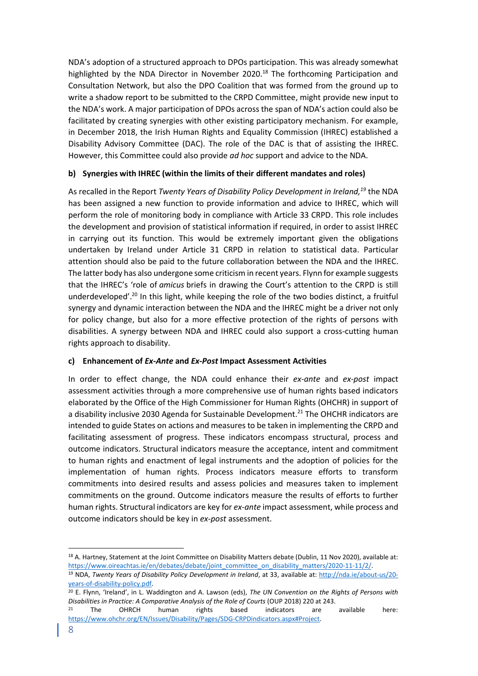NDA's adoption of a structured approach to DPOs participation. This was already somewhat highlighted by the NDA Director in November 2020.<sup>18</sup> The forthcoming Participation and Consultation Network, but also the DPO Coalition that was formed from the ground up to write a shadow report to be submitted to the CRPD Committee, might provide new input to the NDA's work. A major participation of DPOs across the span of NDA's action could also be facilitated by creating synergies with other existing participatory mechanism. For example, in December 2018, the Irish Human Rights and Equality Commission (IHREC) established a Disability Advisory Committee (DAC). The role of the DAC is that of assisting the IHREC. However, this Committee could also provide *ad hoc* support and advice to the NDA.

# **b) Synergies with IHREC (within the limits of their different mandates and roles)**

As recalled in the Report *Twenty Years of Disability Policy Development in Ireland, <sup>19</sup>* the NDA has been assigned a new function to provide information and advice to IHREC, which will perform the role of monitoring body in compliance with Article 33 CRPD. This role includes the development and provision of statistical information if required, in order to assist IHREC in carrying out its function. This would be extremely important given the obligations undertaken by Ireland under Article 31 CRPD in relation to statistical data. Particular attention should also be paid to the future collaboration between the NDA and the IHREC. The latter body has also undergone some criticism in recent years. Flynn for example suggests that the IHREC's 'role of *amicus* briefs in drawing the Court's attention to the CRPD is still underdeveloped'.<sup>20</sup> In this light, while keeping the role of the two bodies distinct, a fruitful synergy and dynamic interaction between the NDA and the IHREC might be a driver not only for policy change, but also for a more effective protection of the rights of persons with disabilities. A synergy between NDA and IHREC could also support a cross-cutting human rights approach to disability.

## **c) Enhancement of** *Ex-Ante* **and** *Ex-Post* **Impact Assessment Activities**

In order to effect change, the NDA could enhance their *ex-ante* and *ex-post* impact assessment activities through a more comprehensive use of human rights based indicators elaborated by the Office of the High Commissioner for Human Rights (OHCHR) in support of a disability inclusive 2030 Agenda for Sustainable Development.<sup>21</sup> The OHCHR indicators are intended to guide States on actions and measures to be taken in implementing the CRPD and facilitating assessment of progress. These indicators encompass structural, process and outcome indicators. Structural indicators measure the acceptance, intent and commitment to human rights and enactment of legal instruments and the adoption of policies for the implementation of human rights. Process indicators measure efforts to transform commitments into desired results and assess policies and measures taken to implement commitments on the ground. Outcome indicators measure the results of efforts to further human rights. Structural indicators are key for *ex-ante* impact assessment, while process and outcome indicators should be key in *ex-post* assessment.

<sup>&</sup>lt;sup>18</sup> A. Hartney, Statement at the Joint Committee on Disability Matters debate (Dublin, 11 Nov 2020), available at: https://www.oireachtas.ie/en/debates/debate/joint\_committee\_on\_disability\_matters/2020-11-11/2/.

<sup>19</sup> NDA, *Twenty Years of Disability Policy Development in Ireland*, at 33, available at: [http://nda.ie/about-us/20](http://nda.ie/about-us/20-years-of-disability-policy.pdf) [years-of-disability-policy.pdf.](http://nda.ie/about-us/20-years-of-disability-policy.pdf)

<sup>20</sup> E. Flynn, 'Ireland', in L. Waddington and A. Lawson (eds), *The UN Convention on the Rights of Persons with Disabilities in Practice: A Comparative Analysis of the Role of Courts* (OUP 2018) 220 at 243.

 $21$  The OHRCH human rights based indicators are available here: [https://www.ohchr.org/EN/Issues/Disability/Pages/SDG-CRPDindicators.aspx#Project.](https://www.ohchr.org/EN/Issues/Disability/Pages/SDG-CRPDindicators.aspx#Project)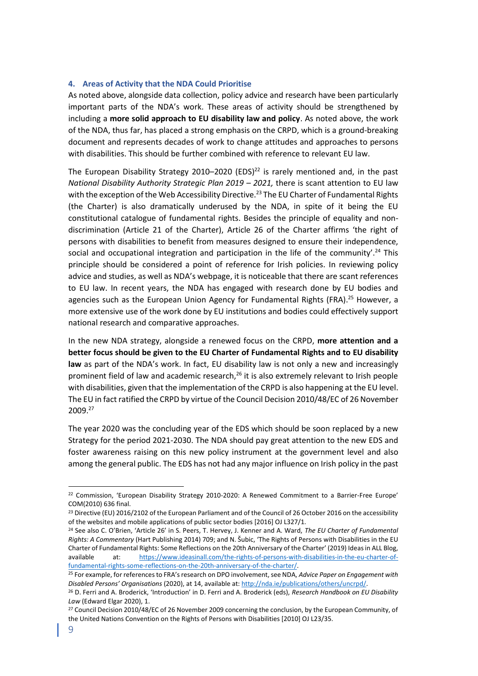# <span id="page-8-0"></span>**4. Areas of Activity that the NDA Could Prioritise**

As noted above, alongside data collection, policy advice and research have been particularly important parts of the NDA's work. These areas of activity should be strengthened by including a **more solid approach to EU disability law and policy**. As noted above, the work of the NDA, thus far, has placed a strong emphasis on the CRPD, which is a ground-breaking document and represents decades of work to change attitudes and approaches to persons with disabilities. This should be further combined with reference to relevant EU law.

The European Disability Strategy 2010–2020 (EDS) $^{22}$  is rarely mentioned and, in the past *National Disability Authority Strategic Plan 2019 – 2021, there is scant attention to EU law* with the exception of the Web Accessibility Directive.<sup>23</sup> The EU Charter of Fundamental Rights (the Charter) is also dramatically underused by the NDA, in spite of it being the EU constitutional catalogue of fundamental rights. Besides the principle of equality and nondiscrimination (Article 21 of the Charter), Article 26 of the Charter affirms 'the right of persons with disabilities to benefit from measures designed to ensure their independence, social and occupational integration and participation in the life of the community'.<sup>24</sup> This principle should be considered a point of reference for Irish policies. In reviewing policy advice and studies, as well as NDA's webpage, it is noticeable that there are scant references to EU law. In recent years, the NDA has engaged with research done by EU bodies and agencies such as the European Union Agency for Fundamental Rights (FRA).<sup>25</sup> However, a more extensive use of the work done by EU institutions and bodies could effectively support national research and comparative approaches.

In the new NDA strategy, alongside a renewed focus on the CRPD, **more attention and a better focus should be given to the EU Charter of Fundamental Rights and to EU disability law** as part of the NDA's work. In fact, EU disability law is not only a new and increasingly prominent field of law and academic research, $^{26}$  it is also extremely relevant to Irish people with disabilities, given that the implementation of the CRPD is also happening at the EU level. The EU in fact ratified the CRPD by virtue of the Council Decision 2010/48/EC of 26 November 2009.<sup>27</sup>

The year 2020 was the concluding year of the EDS which should be soon replaced by a new Strategy for the period 2021-2030. The NDA should pay great attention to the new EDS and foster awareness raising on this new policy instrument at the government level and also among the general public. The EDS has not had any major influence on Irish policy in the past

<sup>22</sup> Commission, 'European Disability Strategy 2010-2020: A Renewed Commitment to a Barrier-Free Europe' COM(2010) 636 final.

<sup>&</sup>lt;sup>23</sup> Directive (EU) 2016/2102 of the European Parliament and of the Council of 26 October 2016 on the accessibility of the websites and mobile applications of public sector bodies [2016] OJ L327/1.

<sup>24</sup> See also C. O'Brien, 'Article 26' in S. Peers, T. Hervey, J. Kenner and A. Ward, *The EU Charter of Fundamental Rights: A Commentary* (Hart Publishing 2014) 709; and N. Šubic, 'The Rights of Persons with Disabilities in the EU Charter of Fundamental Rights: Some Reflections on the 20th Anniversary of the Charter' (2019) Ideas in ALL Blog, available at: [https://www.ideasinall.com/the-rights-of-persons-with-disabilities-in-the-eu-charter-of](https://www.ideasinall.com/the-rights-of-persons-with-disabilities-in-the-eu-charter-of-fundamental-rights-some-reflections-on-the-20th-anniversary-of-the-charter/)[fundamental-rights-some-reflections-on-the-20th-anniversary-of-the-charter/.](https://www.ideasinall.com/the-rights-of-persons-with-disabilities-in-the-eu-charter-of-fundamental-rights-some-reflections-on-the-20th-anniversary-of-the-charter/)

<sup>25</sup> For example, for references to FRA's research on DPO involvement, see NDA, *Advice Paper on Engagement with Disabled Persons' Organisations* (2020), at 14, available at: [http://nda.ie/publications/others/uncrpd/.](http://nda.ie/publications/others/uncrpd/)

<sup>26</sup> D. Ferri and A. Broderick, 'Introduction' in D. Ferri and A. Broderick (eds), *Research Handbook on EU Disability Law* (Edward Elgar 2020), 1.

<sup>&</sup>lt;sup>27</sup> Council Decision 2010/48/EC of 26 November 2009 concerning the conclusion, by the European Community, of the United Nations Convention on the Rights of Persons with Disabilities [2010] OJ L23/35.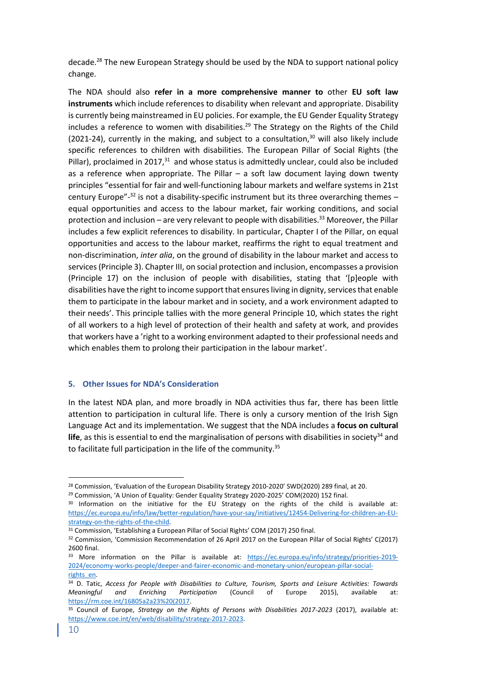decade.<sup>28</sup> The new European Strategy should be used by the NDA to support national policy change.

The NDA should also **refer in a more comprehensive manner to** other **EU soft law instruments** which include references to disability when relevant and appropriate. Disability is currently being mainstreamed in EU policies. For example, the EU Gender Equality Strategy includes a reference to women with disabilities.<sup>29</sup> The Strategy on the Rights of the Child (2021-24), currently in the making, and subject to a consultation, $30$  will also likely include specific references to children with disabilities. The European Pillar of Social Rights (the Pillar), proclaimed in  $2017<sup>31</sup>$  and whose status is admittedly unclear, could also be included as a reference when appropriate. The Pillar  $-$  a soft law document laying down twenty principles "essential for fair and well-functioning labour markets and welfare systems in 21st century Europe"-<sup>32</sup> is not a disability-specific instrument but its three overarching themes equal opportunities and access to the labour market, fair working conditions, and social protection and inclusion – are very relevant to people with disabilities.<sup>33</sup> Moreover, the Pillar includes a few explicit references to disability. In particular, Chapter I of the Pillar, on equal opportunities and access to the labour market, reaffirms the right to equal treatment and non-discrimination, *inter alia*, on the ground of disability in the labour market and access to services (Principle 3). Chapter III, on social protection and inclusion, encompasses a provision (Principle 17) on the inclusion of people with disabilities, stating that '[p]eople with disabilities have the right to income support that ensures living in dignity, services that enable them to participate in the labour market and in society, and a work environment adapted to their needs'. This principle tallies with the more general Principle 10, which states the right of all workers to a high level of protection of their health and safety at work, and provides that workers have a 'right to a working environment adapted to their professional needs and which enables them to prolong their participation in the labour market'.

#### <span id="page-9-0"></span>**5. Other Issues for NDA's Consideration**

In the latest NDA plan, and more broadly in NDA activities thus far, there has been little attention to participation in cultural life. There is only a cursory mention of the Irish Sign Language Act and its implementation. We suggest that the NDA includes a **focus on cultural**  life, as this is essential to end the marginalisation of persons with disabilities in society<sup>34</sup> and to facilitate full participation in the life of the community.<sup>35</sup>

<sup>&</sup>lt;sup>28</sup> Commission, 'Evaluation of the European Disability Strategy 2010-2020' SWD(2020) 289 final, at 20.

<sup>&</sup>lt;sup>29</sup> Commission, 'A Union of Equality: Gender Equality Strategy 2020-2025' COM(2020) 152 final.

<sup>&</sup>lt;sup>30</sup> Information on the initiative for the EU Strategy on the rights of the child is available at: [https://ec.europa.eu/info/law/better-regulation/have-your-say/initiatives/12454-Delivering-for-children-an-EU](https://ec.europa.eu/info/law/better-regulation/have-your-say/initiatives/12454-Delivering-for-children-an-EU-strategy-on-the-rights-of-the-child)[strategy-on-the-rights-of-the-child.](https://ec.europa.eu/info/law/better-regulation/have-your-say/initiatives/12454-Delivering-for-children-an-EU-strategy-on-the-rights-of-the-child)

<sup>&</sup>lt;sup>31</sup> Commission, 'Establishing a European Pillar of Social Rights' COM (2017) 250 final.

<sup>&</sup>lt;sup>32</sup> Commission, 'Commission Recommendation of 26 April 2017 on the European Pillar of Social Rights' C(2017) 2600 final.

<sup>&</sup>lt;sup>33</sup> More information on the Pillar is available at: [https://ec.europa.eu/info/strategy/priorities-2019-](https://ec.europa.eu/info/strategy/priorities-2019-2024/economy-works-people/deeper-and-fairer-economic-and-monetary-union/european-pillar-social-rights_en) [2024/economy-works-people/deeper-and-fairer-economic-and-monetary-union/european-pillar-social](https://ec.europa.eu/info/strategy/priorities-2019-2024/economy-works-people/deeper-and-fairer-economic-and-monetary-union/european-pillar-social-rights_en)[rights\\_en.](https://ec.europa.eu/info/strategy/priorities-2019-2024/economy-works-people/deeper-and-fairer-economic-and-monetary-union/european-pillar-social-rights_en) 

<sup>34</sup> D. Tatic, *Access for People with Disabilities to Culture, Tourism, Sports and Leisure Activities: Towards Meaningful and Enriching Participation* (Council of Europe 2015), available [https://rm.coe.int/16805a2a23%20\(2017.](https://rm.coe.int/16805a2a23%20(2017)

<sup>35</sup> Council of Europe, *Strategy on the Rights of Persons with Disabilities 2017-2023* (2017), available at: [https://www.coe.int/en/web/disability/strategy-2017-2023.](https://www.coe.int/en/web/disability/strategy-2017-2023)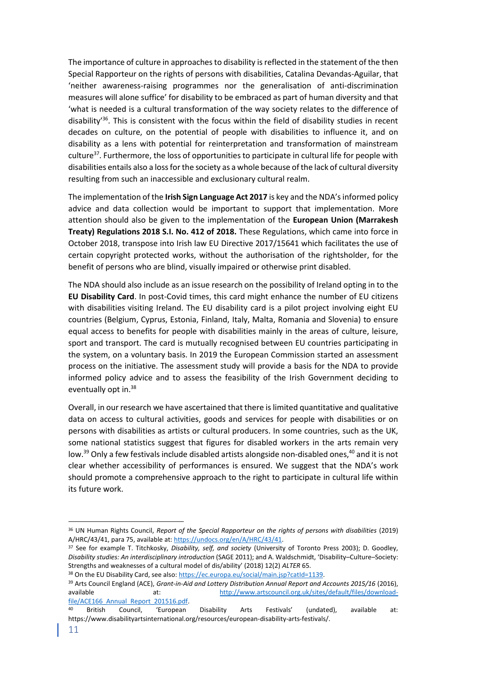The importance of culture in approaches to disability is reflected in the statement of the then Special Rapporteur on the rights of persons with disabilities, Catalina Devandas-Aguilar, that 'neither awareness-raising programmes nor the generalisation of anti-discrimination measures will alone suffice' for disability to be embraced as part of human diversity and that 'what is needed is a cultural transformation of the way society relates to the difference of disability<sup>36</sup>. This is consistent with the focus within the field of disability studies in recent decades on culture, on the potential of people with disabilities to influence it, and on disability as a lens with potential for reinterpretation and transformation of mainstream culture<sup>37</sup>. Furthermore, the loss of opportunities to participate in cultural life for people with disabilities entails also a loss for the society as a whole because of the lack of cultural diversity resulting from such an inaccessible and exclusionary cultural realm.

The implementation of the **Irish Sign Language Act 2017** is key and the NDA's informed policy advice and data collection would be important to support that implementation. More attention should also be given to the implementation of the **European Union (Marrakesh Treaty) Regulations 2018 S.I. No. 412 of 2018.** These Regulations, which came into force in October 2018, transpose into Irish law EU Directive 2017/15641 which facilitates the use of certain copyright protected works, without the authorisation of the rightsholder, for the benefit of persons who are blind, visually impaired or otherwise print disabled.

The NDA should also include as an issue research on the possibility of Ireland opting in to the **EU Disability Card**. In post-Covid times, this card might enhance the number of EU citizens with disabilities visiting Ireland. The EU disability card is a pilot project involving eight EU countries (Belgium, Cyprus, Estonia, Finland, Italy, Malta, Romania and Slovenia) to ensure equal access to benefits for people with disabilities mainly in the areas of culture, leisure, sport and transport. The card is mutually recognised between EU countries participating in the system, on a voluntary basis. In 2019 the European Commission started an assessment process on the initiative. The assessment study will provide a basis for the NDA to provide informed policy advice and to assess the feasibility of the Irish Government deciding to eventually opt in.<sup>38</sup>

Overall, in our research we have ascertained that there is limited quantitative and qualitative data on access to cultural activities, goods and services for people with disabilities or on persons with disabilities as artists or cultural producers. In some countries, such as the UK, some national statistics suggest that figures for disabled workers in the arts remain very low.<sup>39</sup> Only a few festivals include disabled artists alongside non-disabled ones,<sup>40</sup> and it is not clear whether accessibility of performances is ensured. We suggest that the NDA's work should promote a comprehensive approach to the right to participate in cultural life within its future work.

<sup>&</sup>lt;sup>36</sup> UN Human Rights Council, *Report of the Special Rapporteur on the rights of persons with disabilities (2019)* A/HRC/43/41, para 75, available at[: https://undocs.org/en/A/HRC/43/41.](https://undocs.org/en/A/HRC/43/41)

<sup>37</sup> See for example T. Titchkosky, *Disability, self, and society* (University of Toronto Press 2003); D. Goodley, *Disability studies: An interdisciplinary introduction* (SAGE 2011); and A. Waldschmidt, 'Disability–Culture–Society: Strengths and weaknesses of a cultural model of dis/ability' (2018) 12(2) *ALTER* 65.

<sup>38</sup> On the EU Disability Card, see also: https://ec.europa.eu/social/main.jsp?catId=1139.

<sup>39</sup> Arts Council England (ACE), *Grant-in-Aid and Lottery Distribution Annual Report and Accounts 2015/16* (2016), available at: [http://www.artscouncil.org.uk/sites/default/files/download](http://www.artscouncil.org.uk/sites/default/files/download-file/ACE166_Annual_Report_201516.pdf)file/ACE166 Annual Report 201516.pdf.

<sup>&</sup>lt;sup>40</sup> British Council, 'European Disability Arts Festivals' (undated), available at: https://www.disabilityartsinternational.org/resources/european-disability-arts-festivals/.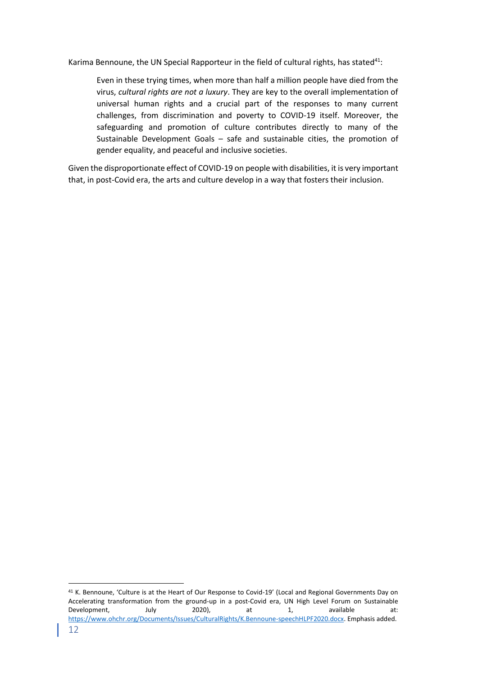Karima Bennoune, the UN Special Rapporteur in the field of cultural rights, has stated<sup>41</sup>:

Even in these trying times, when more than half a million people have died from the virus, *cultural rights are not a luxury*. They are key to the overall implementation of universal human rights and a crucial part of the responses to many current challenges, from discrimination and poverty to COVID-19 itself. Moreover, the safeguarding and promotion of culture contributes directly to many of the Sustainable Development Goals – safe and sustainable cities, the promotion of gender equality, and peaceful and inclusive societies.

Given the disproportionate effect of COVID-19 on people with disabilities, it is very important that, in post-Covid era, the arts and culture develop in a way that fosters their inclusion.

<sup>41</sup> K. Bennoune, 'Culture is at the Heart of Our Response to Covid-19' (Local and Regional Governments Day on Accelerating transformation from the ground-up in a post-Covid era, UN High Level Forum on Sustainable Development, July 2020), at 1, available at: [https://www.ohchr.org/Documents/Issues/CulturalRights/K.Bennoune-speechHLPF2020.docx.](https://www.ohchr.org/Documents/Issues/CulturalRights/K.Bennoune-speechHLPF2020.docx) Emphasis added.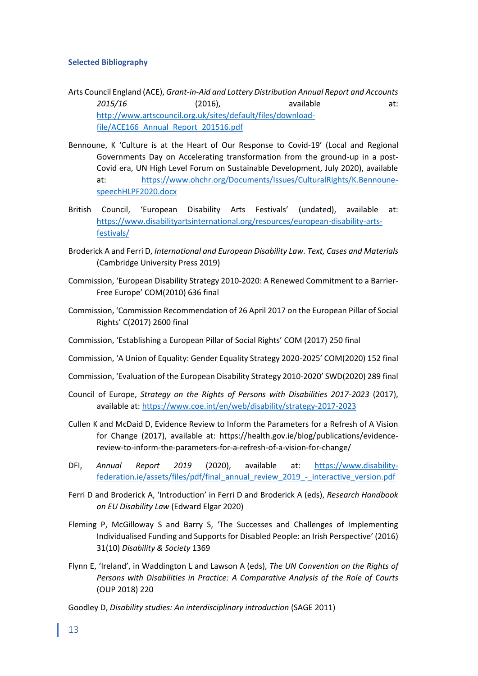### <span id="page-12-0"></span>**Selected Bibliography**

- Arts Council England (ACE), *Grant-in-Aid and Lottery Distribution Annual Report and Accounts*  2*015/16* (2016), available at: [http://www.artscouncil.org.uk/sites/default/files/download](http://www.artscouncil.org.uk/sites/default/files/download-file/ACE166_Annual_Report_201516.pdf)file/ACE166 Annual Report 201516.pdf
- Bennoune, K 'Culture is at the Heart of Our Response to Covid-19' (Local and Regional Governments Day on Accelerating transformation from the ground-up in a post-Covid era, UN High Level Forum on Sustainable Development, July 2020), available at: [https://www.ohchr.org/Documents/Issues/CulturalRights/K.Bennoune](https://www.ohchr.org/Documents/Issues/CulturalRights/K.Bennoune-speechHLPF2020.docx)[speechHLPF2020.docx](https://www.ohchr.org/Documents/Issues/CulturalRights/K.Bennoune-speechHLPF2020.docx)
- British Council, 'European Disability Arts Festivals' (undated), available at: [https://www.disabilityartsinternational.org/resources/european-disability-arts](https://www.disabilityartsinternational.org/resources/european-disability-arts-festivals/)[festivals/](https://www.disabilityartsinternational.org/resources/european-disability-arts-festivals/)
- Broderick A and Ferri D, *International and European Disability Law. Text, Cases and Materials* (Cambridge University Press 2019)
- Commission, 'European Disability Strategy 2010-2020: A Renewed Commitment to a Barrier-Free Europe' COM(2010) 636 final
- Commission, 'Commission Recommendation of 26 April 2017 on the European Pillar of Social Rights' C(2017) 2600 final
- Commission, 'Establishing a European Pillar of Social Rights' COM (2017) 250 final
- Commission, 'A Union of Equality: Gender Equality Strategy 2020-2025' COM(2020) 152 final
- Commission, 'Evaluation of the European Disability Strategy 2010-2020' SWD(2020) 289 final
- Council of Europe, *Strategy on the Rights of Persons with Disabilities 2017-2023* (2017), available at:<https://www.coe.int/en/web/disability/strategy-2017-2023>
- Cullen K and McDaid D, Evidence Review to Inform the Parameters for a Refresh of A Vision for Change (2017), available at: https://health.gov.ie/blog/publications/evidencereview-to-inform-the-parameters-for-a-refresh-of-a-vision-for-change/
- DFI, *Annual Report 2019* (2020), available at: [https://www.disability](https://www.disability-federation.ie/assets/files/pdf/final_annual_review_2019_-_interactive_version.pdf)[federation.ie/assets/files/pdf/final\\_annual\\_review\\_2019\\_-\\_interactive\\_version.pdf](https://www.disability-federation.ie/assets/files/pdf/final_annual_review_2019_-_interactive_version.pdf)
- Ferri D and Broderick A, 'Introduction' in Ferri D and Broderick A (eds), *Research Handbook on EU Disability Law* (Edward Elgar 2020)
- Fleming P, McGilloway S and Barry S, 'The Successes and Challenges of Implementing Individualised Funding and Supports for Disabled People: an Irish Perspective' (2016) 31(10) *Disability & Society* 1369
- Flynn E, 'Ireland', in Waddington L and Lawson A (eds), *The UN Convention on the Rights of Persons with Disabilities in Practice: A Comparative Analysis of the Role of Courts* (OUP 2018) 220
- Goodley D, *Disability studies: An interdisciplinary introduction* (SAGE 2011)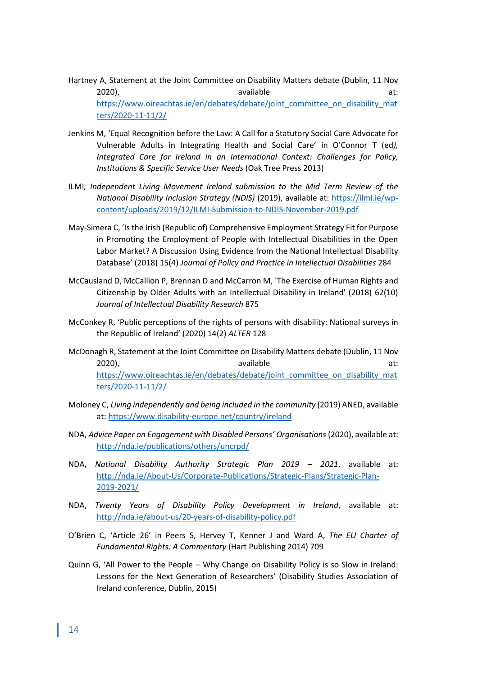- Hartney A, Statement at the Joint Committee on Disability Matters debate (Dublin, 11 Nov 2020), available at: the set of the set of the set of the set of the set of the set of the set of the set of t [https://www.oireachtas.ie/en/debates/debate/joint\\_committee\\_on\\_disability\\_mat](https://www.oireachtas.ie/en/debates/debate/joint_committee_on_disability_matters/2020-11-11/2/) [ters/2020-11-11/2/](https://www.oireachtas.ie/en/debates/debate/joint_committee_on_disability_matters/2020-11-11/2/)
- Jenkins M, 'Equal Recognition before the Law: A Call for a Statutory Social Care Advocate for Vulnerable Adults in Integrating Health and Social Care' in O'Connor T (ed*), Integrated Care for Ireland in an International Context: Challenges for Policy, Institutions & Specific Service User Needs* (Oak Tree Press 2013)
- ILMI*, Independent Living Movement Ireland submission to the Mid Term Review of the National Disability Inclusion Strategy (NDIS)* (2019), available at: [https://ilmi.ie/wp](https://ilmi.ie/wp-content/uploads/2019/12/ILMI-Submission-to-NDIS-November-2019.pdf)[content/uploads/2019/12/ILMI-Submission-to-NDIS-November-2019.pdf](https://ilmi.ie/wp-content/uploads/2019/12/ILMI-Submission-to-NDIS-November-2019.pdf)
- May‐Simera C, 'Is the Irish (Republic of) Comprehensive Employment Strategy Fit for Purpose in Promoting the Employment of People with Intellectual Disabilities in the Open Labor Market? A Discussion Using Evidence from the National Intellectual Disability Database' (2018) 15(4) *Journal of Policy and Practice in Intellectual Disabilities* 284
- McCausland D, McCallion P, Brennan D and McCarron M, 'The Exercise of Human Rights and Citizenship by Older Adults with an Intellectual Disability in Ireland' (2018) 62(10) *Journal of Intellectual Disability Research* 875
- McConkey R, 'Public perceptions of the rights of persons with disability: National surveys in the Republic of Ireland' (2020) 14(2) *ALTER* 128
- McDonagh R, Statement at the Joint Committee on Disability Matters debate (Dublin, 11 Nov 2020), available at: the set of the set of the set of the set of the set of the set of the set of the set of t [https://www.oireachtas.ie/en/debates/debate/joint\\_committee\\_on\\_disability\\_mat](https://www.oireachtas.ie/en/debates/debate/joint_committee_on_disability_matters/2020-11-11/2/) [ters/2020-11-11/2/](https://www.oireachtas.ie/en/debates/debate/joint_committee_on_disability_matters/2020-11-11/2/)
- Moloney C, *Living independently and being included in the community* (2019) ANED, available at:<https://www.disability-europe.net/country/ireland>
- NDA, *Advice Paper on Engagement with Disabled Persons' Organisations* (2020), available at: <http://nda.ie/publications/others/uncrpd/>
- NDA, *National Disability Authority Strategic Plan 2019 – 2021*, available at: [http://nda.ie/About-Us/Corporate-Publications/Strategic-Plans/Strategic-Plan-](http://nda.ie/About-Us/Corporate-Publications/Strategic-Plans/Strategic-Plan-2019-2021/)[2019-2021/](http://nda.ie/About-Us/Corporate-Publications/Strategic-Plans/Strategic-Plan-2019-2021/)
- NDA, *Twenty Years of Disability Policy Development in Ireland*, available at: <http://nda.ie/about-us/20-years-of-disability-policy.pdf>
- O'Brien C, 'Article 26' in Peers S, Hervey T, Kenner J and Ward A, *The EU Charter of Fundamental Rights: A Commentary* (Hart Publishing 2014) 709
- Quinn G, 'All Power to the People Why Change on Disability Policy is so Slow in Ireland: Lessons for the Next Generation of Researchers' (Disability Studies Association of Ireland conference, Dublin, 2015)